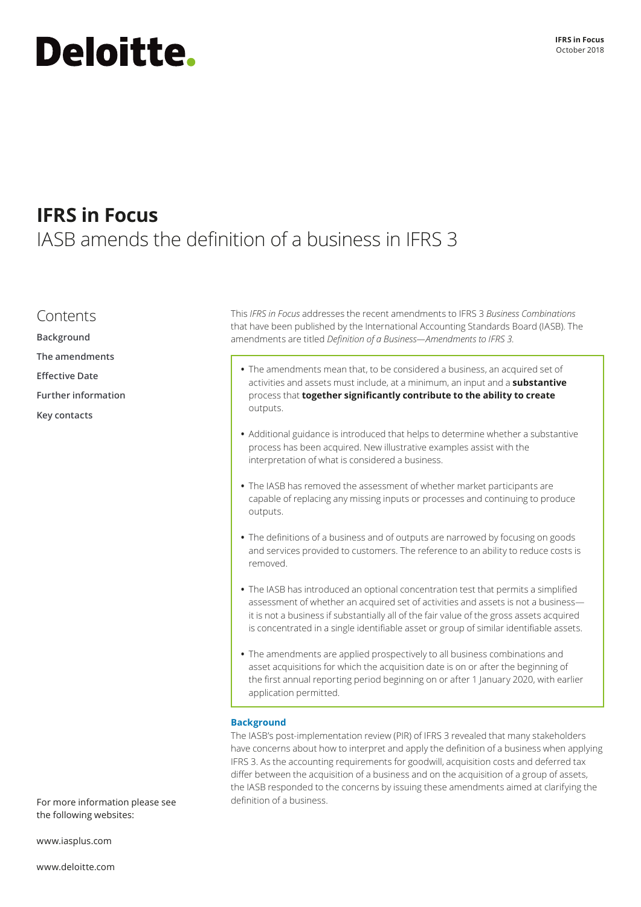# Deloitte.

### **IFRS in Focus** IASB amends the definition of a business in IFRS 3

### Contents

**Background [The amendments](#page-1-0) [Effective Date](#page-2-0)**

- **[Further information](#page-2-0)**
- **[Key contacts](#page-3-0)**

This *IFRS in Focus* addresses the recent amendments to IFRS 3 *Business Combinations*  that have been published by the International Accounting Standards Board (IASB). The amendments are titled *Definition of a Business—Amendments to IFRS 3.*

- **•** The amendments mean that, to be considered a business, an acquired set of activities and assets must include, at a minimum, an input and a **substantive**  process that **together significantly contribute to the ability to create**  outputs.
- **•** Additional guidance is introduced that helps to determine whether a substantive process has been acquired. New illustrative examples assist with the interpretation of what is considered a business.
- **•** The IASB has removed the assessment of whether market participants are capable of replacing any missing inputs or processes and continuing to produce outputs.
- **•** The definitions of a business and of outputs are narrowed by focusing on goods and services provided to customers. The reference to an ability to reduce costs is removed.
- **•** The IASB has introduced an optional concentration test that permits a simplified assessment of whether an acquired set of activities and assets is not a business it is not a business if substantially all of the fair value of the gross assets acquired is concentrated in a single identifiable asset or group of similar identifiable assets.
- **•** The amendments are applied prospectively to all business combinations and asset acquisitions for which the acquisition date is on or after the beginning of the first annual reporting period beginning on or after 1 January 2020, with earlier application permitted.

#### **Background**

The IASB's post-implementation review (PIR) of IFRS 3 revealed that many stakeholders have concerns about how to interpret and apply the definition of a business when applying IFRS 3. As the accounting requirements for goodwill, acquisition costs and deferred tax differ between the acquisition of a business and on the acquisition of a group of assets, the IASB responded to the concerns by issuing these amendments aimed at clarifying the definition of a business.

For more information please see the following websites:

[www.iasplus.com](http://www.iasplus.com)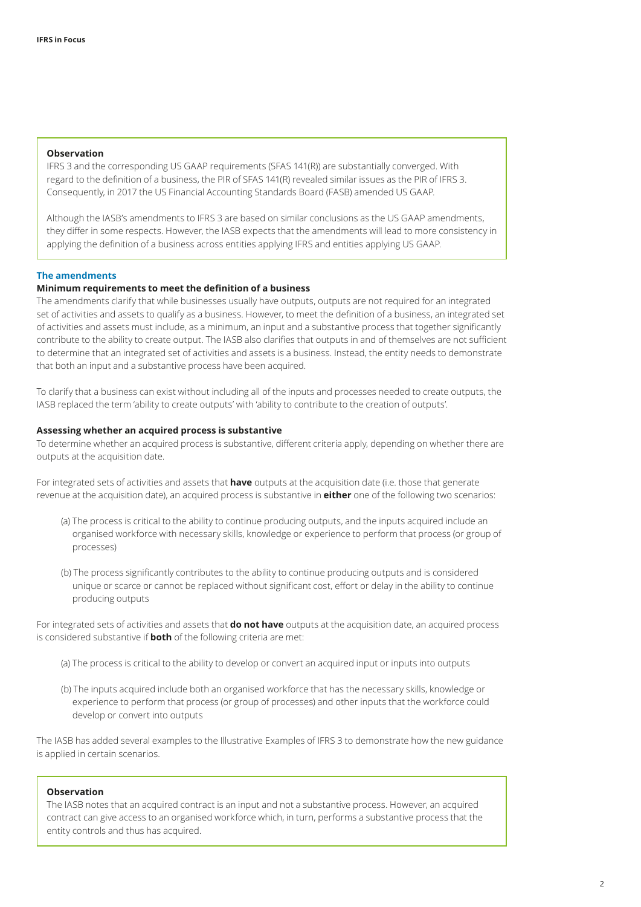#### <span id="page-1-0"></span>**Observation**

IFRS 3 and the corresponding US GAAP requirements (SFAS 141(R)) are substantially converged. With regard to the definition of a business, the PIR of SFAS 141(R) revealed similar issues as the PIR of IFRS 3. Consequently, in 2017 the US Financial Accounting Standards Board (FASB) amended US GAAP.

Although the IASB's amendments to IFRS 3 are based on similar conclusions as the US GAAP amendments, they differ in some respects. However, the IASB expects that the amendments will lead to more consistency in applying the definition of a business across entities applying IFRS and entities applying US GAAP.

#### **The amendments**

#### **Minimum requirements to meet the definition of a business**

The amendments clarify that while businesses usually have outputs, outputs are not required for an integrated set of activities and assets to qualify as a business. However, to meet the definition of a business, an integrated set of activities and assets must include, as a minimum, an input and a substantive process that together significantly contribute to the ability to create output. The IASB also clarifies that outputs in and of themselves are not sufficient to determine that an integrated set of activities and assets is a business. Instead, the entity needs to demonstrate that both an input and a substantive process have been acquired.

To clarify that a business can exist without including all of the inputs and processes needed to create outputs, the IASB replaced the term 'ability to create outputs' with 'ability to contribute to the creation of outputs'.

#### **Assessing whether an acquired process is substantive**

To determine whether an acquired process is substantive, different criteria apply, depending on whether there are outputs at the acquisition date.

For integrated sets of activities and assets that **have** outputs at the acquisition date (i.e. those that generate revenue at the acquisition date), an acquired process is substantive in **either** one of the following two scenarios:

- (a) The process is critical to the ability to continue producing outputs, and the inputs acquired include an organised workforce with necessary skills, knowledge or experience to perform that process (or group of processes)
- (b) The process significantly contributes to the ability to continue producing outputs and is considered unique or scarce or cannot be replaced without significant cost, effort or delay in the ability to continue producing outputs

For integrated sets of activities and assets that **do not have** outputs at the acquisition date, an acquired process is considered substantive if **both** of the following criteria are met:

- (a) The process is critical to the ability to develop or convert an acquired input or inputs into outputs
- (b) The inputs acquired include both an organised workforce that has the necessary skills, knowledge or experience to perform that process (or group of processes) and other inputs that the workforce could develop or convert into outputs

The IASB has added several examples to the Illustrative Examples of IFRS 3 to demonstrate how the new guidance is applied in certain scenarios.

#### **Observation**

The IASB notes that an acquired contract is an input and not a substantive process. However, an acquired contract can give access to an organised workforce which, in turn, performs a substantive process that the entity controls and thus has acquired.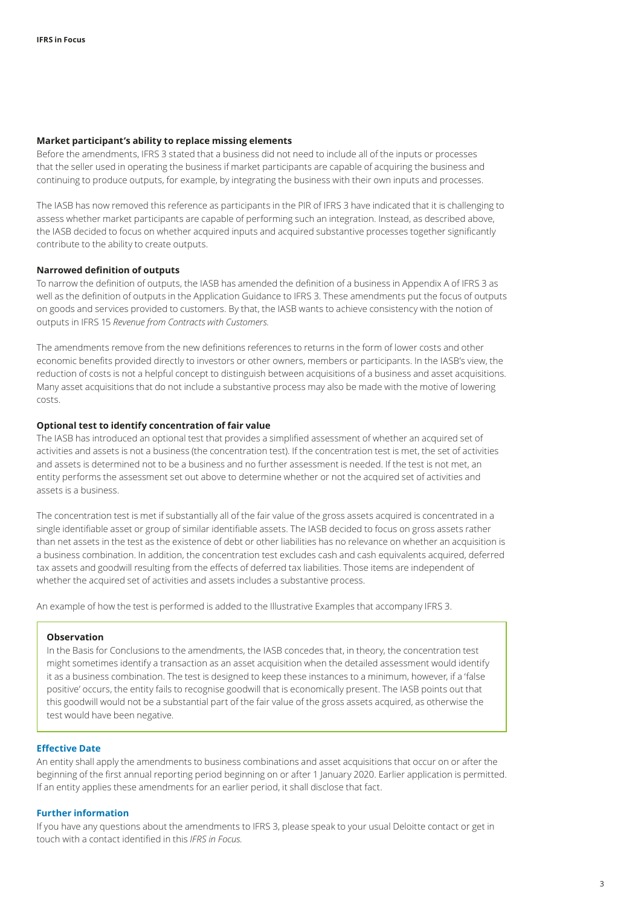#### <span id="page-2-0"></span>**Market participant's ability to replace missing elements**

Before the amendments, IFRS 3 stated that a business did not need to include all of the inputs or processes that the seller used in operating the business if market participants are capable of acquiring the business and continuing to produce outputs, for example, by integrating the business with their own inputs and processes.

The IASB has now removed this reference as participants in the PIR of IFRS 3 have indicated that it is challenging to assess whether market participants are capable of performing such an integration. Instead, as described above, the IASB decided to focus on whether acquired inputs and acquired substantive processes together significantly contribute to the ability to create outputs.

#### **Narrowed definition of outputs**

To narrow the definition of outputs, the IASB has amended the definition of a business in Appendix A of IFRS 3 as well as the definition of outputs in the Application Guidance to IFRS 3. These amendments put the focus of outputs on goods and services provided to customers. By that, the IASB wants to achieve consistency with the notion of outputs in IFRS 15 *Revenue from Contracts with Customers.* 

The amendments remove from the new definitions references to returns in the form of lower costs and other economic benefits provided directly to investors or other owners, members or participants. In the IASB's view, the reduction of costs is not a helpful concept to distinguish between acquisitions of a business and asset acquisitions. Many asset acquisitions that do not include a substantive process may also be made with the motive of lowering costs.

#### **Optional test to identify concentration of fair value**

The IASB has introduced an optional test that provides a simplified assessment of whether an acquired set of activities and assets is not a business (the concentration test). If the concentration test is met, the set of activities and assets is determined not to be a business and no further assessment is needed. If the test is not met, an entity performs the assessment set out above to determine whether or not the acquired set of activities and assets is a business.

The concentration test is met if substantially all of the fair value of the gross assets acquired is concentrated in a single identifiable asset or group of similar identifiable assets. The IASB decided to focus on gross assets rather than net assets in the test as the existence of debt or other liabilities has no relevance on whether an acquisition is a business combination. In addition, the concentration test excludes cash and cash equivalents acquired, deferred tax assets and goodwill resulting from the effects of deferred tax liabilities. Those items are independent of whether the acquired set of activities and assets includes a substantive process.

An example of how the test is performed is added to the Illustrative Examples that accompany IFRS 3.

#### **Observation**

In the Basis for Conclusions to the amendments, the IASB concedes that, in theory, the concentration test might sometimes identify a transaction as an asset acquisition when the detailed assessment would identify it as a business combination. The test is designed to keep these instances to a minimum, however, if a 'false positive' occurs, the entity fails to recognise goodwill that is economically present. The IASB points out that this goodwill would not be a substantial part of the fair value of the gross assets acquired, as otherwise the test would have been negative.

#### **Effective Date**

An entity shall apply the amendments to business combinations and asset acquisitions that occur on or after the beginning of the first annual reporting period beginning on or after 1 January 2020. Earlier application is permitted. If an entity applies these amendments for an earlier period, it shall disclose that fact.

#### **Further information**

If you have any questions about the amendments to IFRS 3, please speak to your usual Deloitte contact or get in touch with a contact identified in this *IFRS in Focus.*